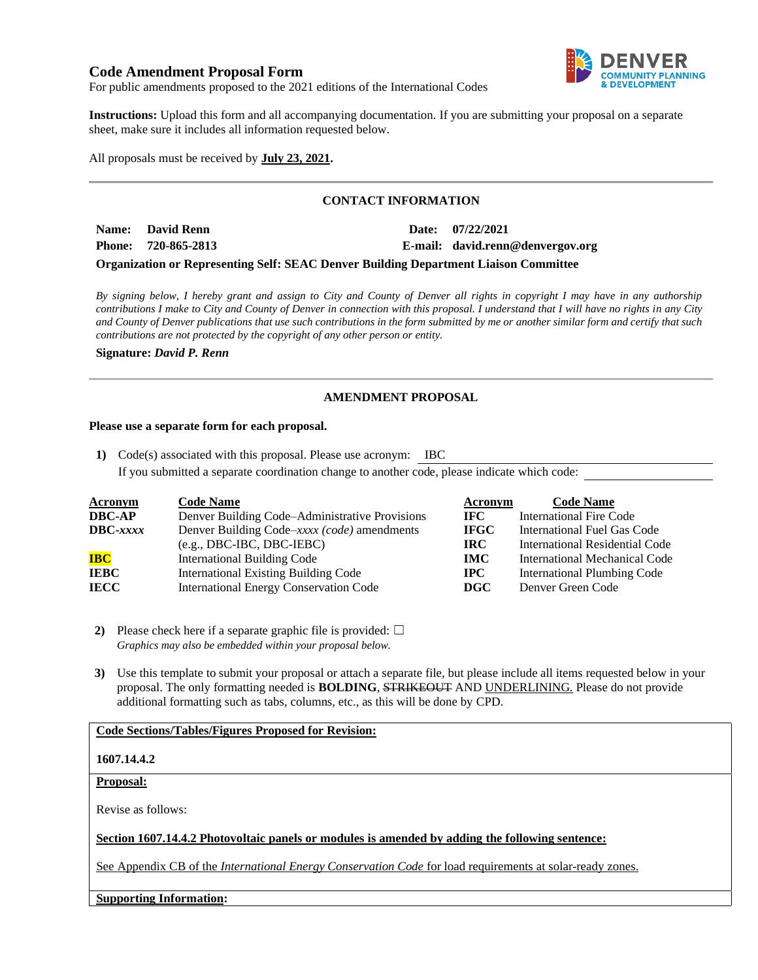# **Code Amendment Proposal Form**



For public amendments proposed to the 2021 editions of the International Codes

**Instructions:** Upload this form and all accompanying documentation. If you are submitting your proposal on a separate sheet, make sure it includes all information requested below.

All proposals must be received by **July 23, 2021.**

# **CONTACT INFORMATION**

| Name: David Renn    |  | Date: 07/22/2021                 |
|---------------------|--|----------------------------------|
| Phone: 720-865-2813 |  | E-mail: david.renn@denvergov.org |
|                     |  |                                  |

**Organization or Representing Self: SEAC Denver Building Department Liaison Committee**

*By signing below, I hereby grant and assign to City and County of Denver all rights in copyright I may have in any authorship contributions I make to City and County of Denver in connection with this proposal. I understand that I will have no rights in any City and County of Denver publications that use such contributions in the form submitted by me or another similar form and certify that such contributions are not protected by the copyright of any other person or entity.* 

**Signature:** *David P. Renn*

# **AMENDMENT PROPOSAL**

#### **Please use a separate form for each proposal.**

**1)** Code(s) associated with this proposal. Please use acronym: IBC If you submitted a separate coordination change to another code, please indicate which code:

| <b>Acronym</b> | <b>Code Name</b>                               | Acronym      | <b>Code Name</b>                      |
|----------------|------------------------------------------------|--------------|---------------------------------------|
| DBC-AP         | Denver Building Code–Administrative Provisions | IFC.         | International Fire Code               |
| DBC-xxxx       | Denver Building Code–xxxx (code) amendments    | <b>IFGC</b>  | International Fuel Gas Code           |
|                | $(e.g., DBC-IBC, DBC-IEBC)$                    | <b>IRC</b>   | <b>International Residential Code</b> |
| <b>IBC</b>     | International Building Code                    | <b>IMC</b>   | International Mechanical Code         |
| IEBC           | <b>International Existing Building Code</b>    | $_{\rm IPC}$ | <b>International Plumbing Code</b>    |
| IECC           | <b>International Energy Conservation Code</b>  | DGC          | Denver Green Code                     |

**2)** Please check here if a separate graphic file is provided:  $\Box$ *Graphics may also be embedded within your proposal below.*

**3)** Use this template to submit your proposal or attach a separate file, but please include all items requested below in your proposal. The only formatting needed is **BOLDING**, STRIKEOUT AND UNDERLINING. Please do not provide additional formatting such as tabs, columns, etc., as this will be done by CPD.

# **Code Sections/Tables/Figures Proposed for Revision:**

# **1607.14.4.2**

## **Proposal:**

Revise as follows:

### **Section 1607.14.4.2 Photovoltaic panels or modules is amended by adding the following sentence:**

See Appendix CB of the *International Energy Conservation Code* for load requirements at solar-ready zones.

#### **Supporting Information:**